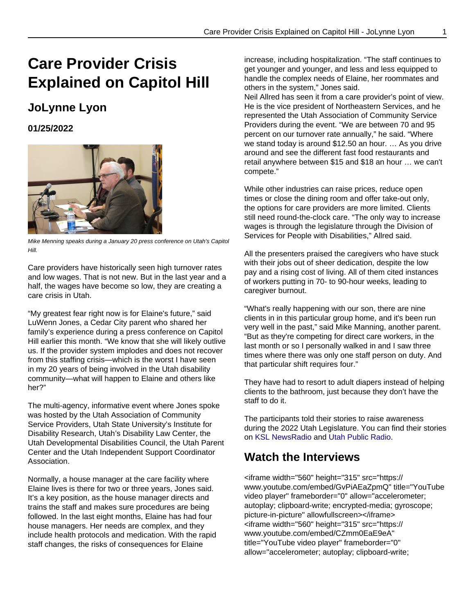## **Care Provider Crisis Explained on Capitol Hill**

## **JoLynne Lyon**

**01/25/2022**



Mike Menning speaks during a January 20 press conference on Utah's Capitol Hill.

Care providers have historically seen high turnover rates and low wages. That is not new. But in the last year and a half, the wages have become so low, they are creating a care crisis in Utah.

"My greatest fear right now is for Elaine's future," said LuWenn Jones, a Cedar City parent who shared her family's experience during a press conference on Capitol Hill earlier this month. "We know that she will likely outlive us. If the provider system implodes and does not recover from this staffing crisis—which is the worst I have seen in my 20 years of being involved in the Utah disability community—what will happen to Elaine and others like her?"

The multi-agency, informative event where Jones spoke was hosted by the Utah Association of Community Service Providers, Utah State University's Institute for Disability Research, Utah's Disability Law Center, the Utah Developmental Disabilities Council, the Utah Parent Center and the Utah Independent Support Coordinator Association.

Normally, a house manager at the care facility where Elaine lives is there for two or three years, Jones said. It's a key position, as the house manager directs and trains the staff and makes sure procedures are being followed. In the last eight months, Elaine has had four house managers. Her needs are complex, and they include health protocols and medication. With the rapid staff changes, the risks of consequences for Elaine

increase, including hospitalization. "The staff continues to get younger and younger, and less and less equipped to handle the complex needs of Elaine, her roommates and others in the system," Jones said. Neil Allred has seen it from a care provider's point of view. He is the vice president of Northeastern Services, and he represented the Utah Association of Community Service Providers during the event. "We are between 70 and 95 percent on our turnover rate annually," he said. "Where we stand today is around \$12.50 an hour. … As you drive around and see the different fast food restaurants and retail anywhere between \$15 and \$18 an hour … we can't compete."

While other industries can raise prices, reduce open times or close the dining room and offer take-out only, the options for care providers are more limited. Clients still need round-the-clock care. "The only way to increase wages is through the legislature through the Division of Services for People with Disabilities," Allred said.

All the presenters praised the caregivers who have stuck with their jobs out of sheer dedication, despite the low pay and a rising cost of living. All of them cited instances of workers putting in 70- to 90-hour weeks, leading to caregiver burnout.

"What's really happening with our son, there are nine clients in in this particular group home, and it's been run very well in the past," said Mike Manning, another parent. "But as they're competing for direct care workers, in the last month or so I personally walked in and I saw three times where there was only one staff person on duty. And that particular shift requires four."

They have had to resort to adult diapers instead of helping clients to the bathroom, just because they don't have the staff to do it.

The participants told their stories to raise awareness during the 2022 Utah Legislature. You can find their stories on [KSL NewsRadio](https://idrpp.usu.edu/blog/2022/applewebdata://3C53B431-0144-4CB4-9338-104173594748/Utah%20Public%20Radio%20and) and [Utah Public Radio.](https://www.upr.org/utah-news/2022-01-24/what-utah-parents-have-to-say-about-the-disability-staffing-crisis)

## **Watch the Interviews**

<iframe width="560" height="315" src="https:// www.youtube.com/embed/GvPiAEaZpmQ" title="YouTube video player" frameborder="0" allow="accelerometer; autoplay; clipboard-write; encrypted-media; gyroscope; picture-in-picture" allowfullscreen></iframe> <iframe width="560" height="315" src="https:// www.youtube.com/embed/CZmm0EaE9eA" title="YouTube video player" frameborder="0" allow="accelerometer; autoplay; clipboard-write;